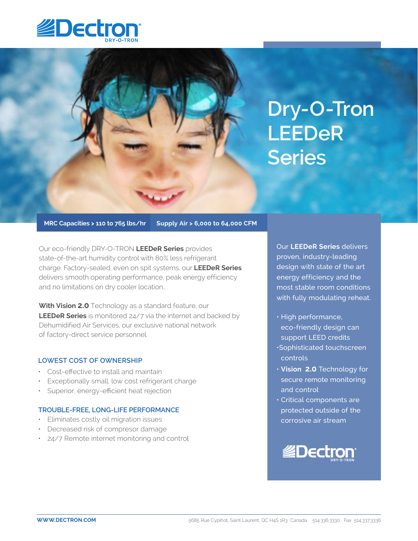



**MRC Capacities > 110 to 765 lbs/hr Supply Air > 6,000 to 64,000 CFM**

Our eco-friendly DRY-O-TRON **LEEDeR Series** provides state-of-the-art humidity control with 80% less refrigerant charge. Factory-sealed, even on spit systems, our **LEEDeR Series** delivers smooth operating performance, peak energy efficiency and no limitations on dry cooler location..

**With Vision 2.0** Technology as a standard feature, our **LEEDeR Series** is monitored 24/7 via the internet and backed by Dehumidified Air Services, our exclusive national network of factory-direct service personnel.

## **LOWEST COST OF OWNERSHIP**

- Cost-effective to install and maintain
- Exceptionally small, low cost refrigerant charge
- Superior, energy-efficient heat rejection

## **TROUBLE-FREE, LONG-LIFE PERFORMANCE**

- Eliminates costly oil migration issues
- Decreased risk of compresor damage
- 24/7 Remote internet monitoring and control

Our **LEEDeR Series** delivers proven, industry-leading design with state of the art energy efficiency and the most stable room conditions with fully modulating reheat.

- High performance, eco-friendly design can support LEED credits
- •Sophisticated touchscreen controls
- • **Vision 2.0** Technology for secure remote monitoring and control
- Critical components are protected outside of the corrosive air stream